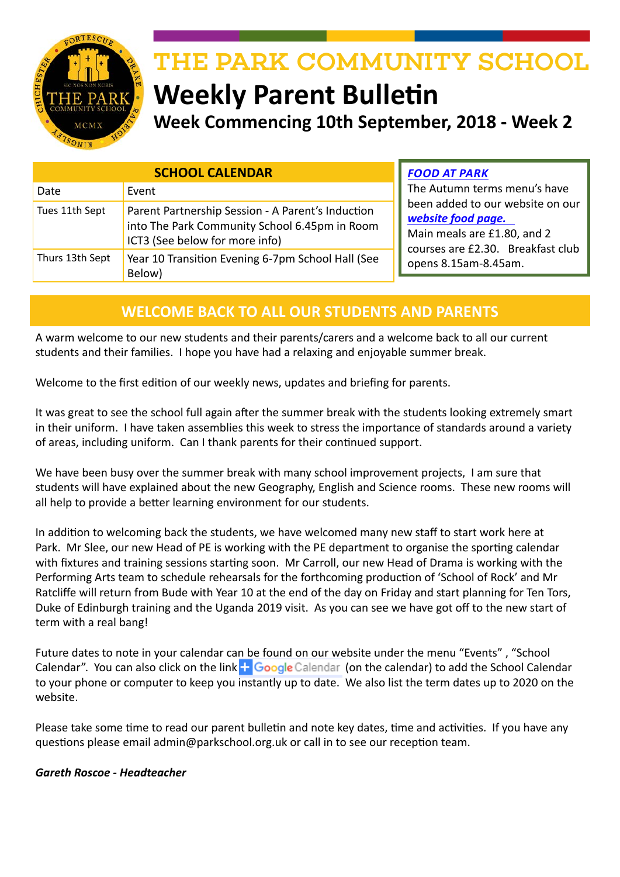

# THE PARK COMMUNITY SCHOOL **Weekly Parent Bulletin**

**Week Commencing 10th September, 2018 - Week 2**

| <b>SCHOOL CALENDAR</b> |                                                                                                                                      |  |
|------------------------|--------------------------------------------------------------------------------------------------------------------------------------|--|
| Date                   | Event                                                                                                                                |  |
| Tues 11th Sept         | Parent Partnership Session - A Parent's Induction<br>into The Park Community School 6.45pm in Room<br>ICT3 (See below for more info) |  |
| Thurs 13th Sept        | Year 10 Transition Evening 6-7pm School Hall (See<br>Below)                                                                          |  |

*FOOD AT PARK*

The Autumn terms menu's have been added to our website on our *[website food page.](http://www.theparkschool.org.uk/food-park)*  Main meals are £1.80, and 2 courses are £2.30. Breakfast club opens 8.15am-8.45am.

# **WELCOME BACK TO ALL OUR STUDENTS AND PARENTS**

A warm welcome to our new students and their parents/carers and a welcome back to all our current students and their families. I hope you have had a relaxing and enjoyable summer break.

Welcome to the first edition of our weekly news, updates and briefing for parents.

It was great to see the school full again after the summer break with the students looking extremely smart in their uniform. I have taken assemblies this week to stress the importance of standards around a variety of areas, including uniform. Can I thank parents for their continued support.

We have been busy over the summer break with many school improvement projects, I am sure that students will have explained about the new Geography, English and Science rooms. These new rooms will all help to provide a better learning environment for our students.

In addition to welcoming back the students, we have welcomed many new staff to start work here at Park. Mr Slee, our new Head of PE is working with the PE department to organise the sporting calendar with fixtures and training sessions starting soon. Mr Carroll, our new Head of Drama is working with the Performing Arts team to schedule rehearsals for the forthcoming production of 'School of Rock' and Mr Ratcliffe will return from Bude with Year 10 at the end of the day on Friday and start planning for Ten Tors, Duke of Edinburgh training and the Uganda 2019 visit. As you can see we have got off to the new start of term with a real bang!

Future dates to note in your calendar can be found on our website under the menu "Events" , "School Calendar". You can also click on the link  $\blacksquare$  Google Calendar (on the calendar) to add the School Calendar to your phone or computer to keep you instantly up to date. We also list the term dates up to 2020 on the website.

Please take some time to read our parent bulletin and note key dates, time and activities. If you have any questions please email admin@parkschool.org.uk or call in to see our reception team.

### *Gareth Roscoe - Headteacher*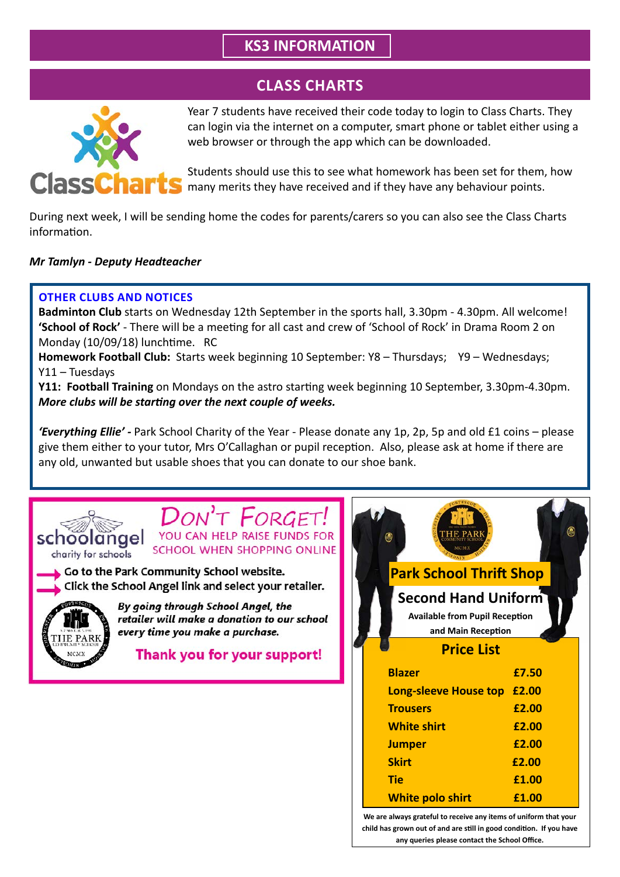# **KS3 INFORMATION**

# **CLASS CHARTS**



Year 7 students have received their code today to login to Class Charts. They can login via the internet on a computer, smart phone or tablet either using a web browser or through the app which can be downloaded.

Students should use this to see what homework has been set for them, how many merits they have received and if they have any behaviour points.

During next week, I will be sending home the codes for parents/carers so you can also see the Class Charts information.

### *Mr Tamlyn - Deputy Headteacher*

### **OTHER CLUBS AND NOTICES**

**Badminton Club** starts on Wednesday 12th September in the sports hall, 3.30pm - 4.30pm. All welcome! **'School of Rock'** - There will be a meeting for all cast and crew of 'School of Rock' in Drama Room 2 on Monday (10/09/18) lunchtime. RC

**Homework Football Club:** Starts week beginning 10 September: Y8 – Thursdays; Y9 – Wednesdays; Y11 – Tuesdays

**Y11: Football Training** on Mondays on the astro starting week beginning 10 September, 3.30pm-4.30pm. *More clubs will be starting over the next couple of weeks.*

*'Everything Ellie' -* Park School Charity of the Year - Please donate any 1p, 2p, 5p and old £1 coins – please give them either to your tutor, Mrs O'Callaghan or pupil reception. Also, please ask at home if there are any old, unwanted but usable shoes that you can donate to our shoe bank.



YOU CAN HELP RAISE FUNDS FOR SCHOOL WHEN SHOPPING ONLINE

Go to the Park Community School website. Click the School Angel link and select your retailer.



By going through School Angel, the retailer will make a donation to our school every time you make a purchase.

Thank you for your support!

| <b>Park School Thrift Shop</b>                                                            |       |  |
|-------------------------------------------------------------------------------------------|-------|--|
| <b>Second Hand Uniform</b><br><b>Available from Pupil Reception</b><br>and Main Reception |       |  |
| <b>Price List</b>                                                                         |       |  |
| <b>Blazer</b>                                                                             | £7.50 |  |
| Long-sleeve House top                                                                     | £2.00 |  |
| <b>Trousers</b>                                                                           | £2.00 |  |
| <b>White shirt</b>                                                                        | £2.00 |  |
| <b>Jumper</b>                                                                             | £2.00 |  |
| <b>Skirt</b>                                                                              | £2.00 |  |
| <b>Tie</b>                                                                                | £1.00 |  |
| <b>White polo shirt</b>                                                                   | £1.00 |  |

**any queries please contact the School Office.**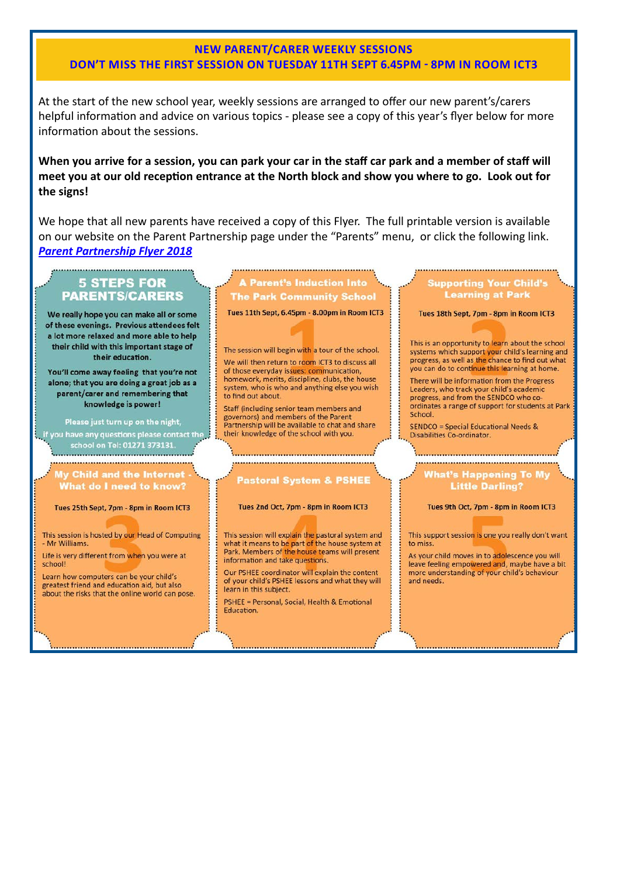### **NEW PARENT/CARER WEEKLY SESSIONS** DON'T MISS THE FIRST SESSION ON TUESDAY 11TH SEPT 6.45PM - 8PM IN ROOM ICT3

At the start of the new school year, weekly sessions are arranged to offer our new parent's/carers helpful information and advice on various topics - please see a copy of this year's flyer below for more information about the sessions.

### When you arrive for a session, you can park your car in the staff car park and a member of staff will meet you at our old reception entrance at the North block and show you where to go. Look out for the signs!

We hope that all new parents have received a copy of this Flyer. The full printable version is available on our website on the Parent Partnership page under the "Parents" menu, or click the following link. **Parent Partnership Flyer 2018** 

### **5 STEPS FOR PARENTS/CARERS**

We really hope you can make all or some of these evenings. Previous attendees felt a lot more relaxed and more able to help their child with this important stage of their education.

You'll come away feeling that you're not alone; that you are doing a great job as a parent/carer and remembering that knowledge is power!

Please just turn up on the night, f you have any questions please contact the school on Tel: 01271 373131.

**Child and the What do I need to know?** 

Tues 25th Sept. 7pm - 8pm in Room ICT3

This session is hosted by our Head of Computing - Mr Williams.

Life is very different from when you were at school!

Learn how computers can be your child's greatest friend and education aid, but also about the risks that the online world can pose.

**A Parent's Induction Into The Park Community School** 

Tues 11th Sept, 6.45pm - 8.00pm in Room ICT3

The session will begin with a tour of the school. We will then return to room ICT3 to discuss all of those everyday issues: communication, homework merits discipline clubs the house system, who is who and anything else you wish to find out about.

Staff (including senior team members and governors) and members of the Parent Partnership will be available to chat and share their knowledge of the school with you.

**Pastoral System & PSHEE** 

### Tues 2nd Oct, 7pm - 8pm in Room ICT3

This session will explain the pastoral system and what it means to be part of the house system at Park. Members of the house teams will present information and take questions.

Our PSHEE coordinator will explain the content of your child's PSHEE lessons and what they will learn in this subject.

PSHEE = Personal, Social, Health & Emotional Education.

### **Supporting Your Child's Learning at Park**

Tues 18th Sept, 7pm - 8pm in Room ICT3

This is an opportunity to learn about the school systems which support your child's learning and progress, as well as the chance to find out what you can do to continue this learning at home.

There will be information from the Progress Leaders, who track your child's academic progress, and from the SENDCO who coordinates a range of support for students at Park School.

**SENDCO = Special Educational Needs &** Disabilities Co-ordinator.

# Nhat's Happening To My

### **Little Darling?**

### Tues 9th Oct. 7pm - 8pm in Room ICT3

This support session is one you really don't want to miss.

As your child moves in to adolescence you will leave feeling empowered and, maybe have a bit more understanding of your child's behaviour and needs.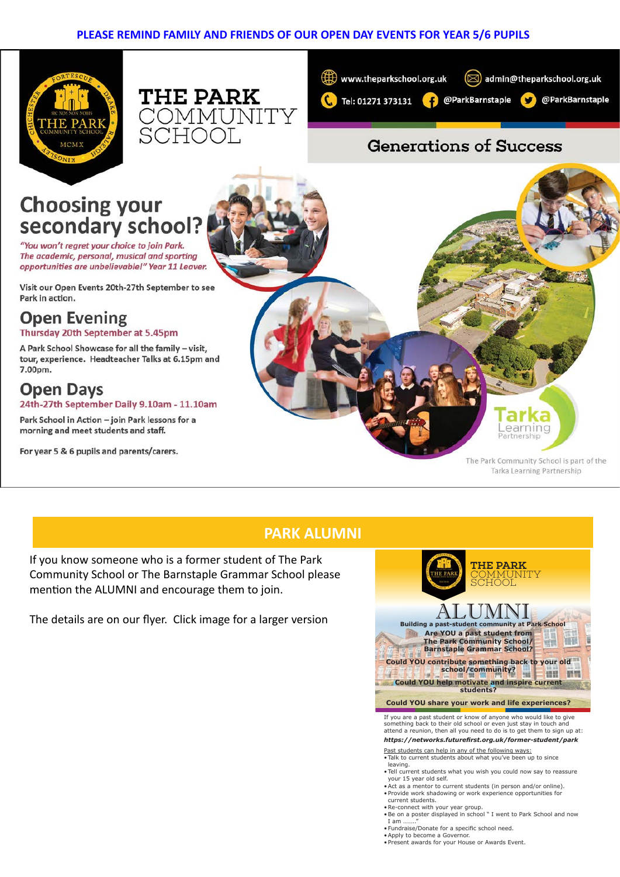### **PLEASE REMIND FAMILY AND FRIENDS OF OUR OPEN DAY EVENTS FOR YEAR 5/6 PUPILS**







# **Generations of Success**

# **Choosing your** secondary school?

"You won't regret your choice to join Park. The academic, personal, musical and sporting opportunities are unbelievable!" Year 11 Leaver.

Visit our Open Events 20th-27th September to see Park in action.

# **Open Evening**

### Thursday 20th September at 5.45pm

A Park School Showcase for all the family - visit, tour, experience. Headteacher Talks at 6.15pm and 7.00pm.

### **Open Days** 24th-27th September Daily 9.10am - 11.10am

Park School in Action - join Park lessons for a morning and meet students and staff.

For year 5 & 6 pupils and parents/carers.

The Park Community School is part of the Tarka Learning Partnership

earninc

Partnership

### **PARK ALUMNI**

If you know someone who is a former student of The Park Community School or The Barnstaple Grammar School please mention the ALUMNI and encourage them to join.

The details are on our flyer. Click image for a larger version



- •Fundraise/Donate for a specific school need.
- •Apply to become a Governor.
- •Present awards for your House or Awards Event.